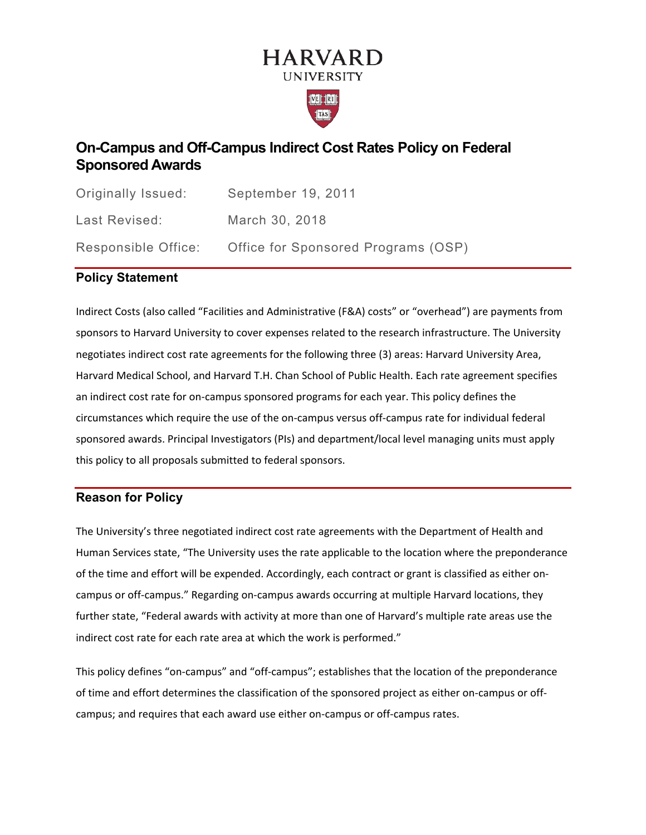# **HARVARD UNIVERSITY**



# **On-Campus and Off-Campus Indirect Cost Rates Policy on Federal Sponsored Awards**

| Originally Issued:  | September 19, 2011                  |
|---------------------|-------------------------------------|
| Last Revised:       | March 30, 2018                      |
| Responsible Office: | Office for Sponsored Programs (OSP) |

# **Policy Statement**

Indirect Costs (also called "Facilities and Administrative (F&A) costs" or "overhead") are payments from sponsors to Harvard University to cover expenses related to the research infrastructure. The University negotiates indirect cost rate agreements for the following three (3) areas: Harvard University Area, Harvard Medical School, and Harvard T.H. Chan School of Public Health. Each rate agreement specifies an indirect cost rate for on-campus sponsored programs for each year. This policy defines the circumstances which require the use of the on-campus versus off-campus rate for individual federal sponsored awards. Principal Investigators (PIs) and department/local level managing units must apply this policy to all proposals submitted to federal sponsors.

# **Reason for Policy**

The University's three negotiated indirect cost rate agreements with the Department of Health and Human Services state, "The University uses the rate applicable to the location where the preponderance of the time and effort will be expended. Accordingly, each contract or grant is classified as either oncampus or off-campus." Regarding on-campus awards occurring at multiple Harvard locations, they further state, "Federal awards with activity at more than one of Harvard's multiple rate areas use the indirect cost rate for each rate area at which the work is performed."

This policy defines "on-campus" and "off-campus"; establishes that the location of the preponderance of time and effort determines the classification of the sponsored project as either on-campus or offcampus; and requires that each award use either on-campus or off-campus rates.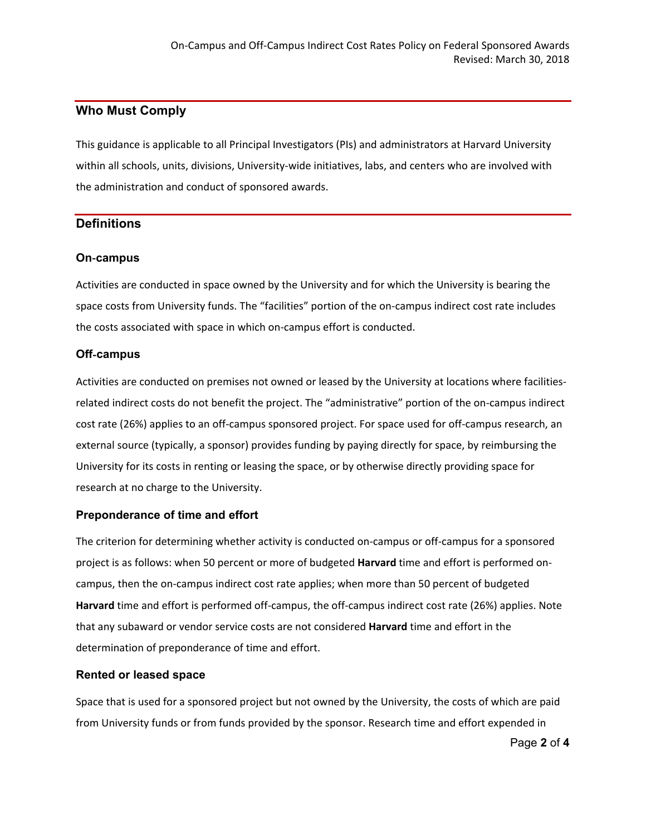# **Who Must Comply**

This guidance is applicable to all Principal Investigators (PIs) and administrators at Harvard University within all schools, units, divisions, University-wide initiatives, labs, and centers who are involved with the administration and conduct of sponsored awards.

# **Definitions**

#### **On**‐**campus**

Activities are conducted in space owned by the University and for which the University is bearing the space costs from University funds. The "facilities" portion of the on-campus indirect cost rate includes the costs associated with space in which on-campus effort is conducted.

# **Off**‐**campus**

Activities are conducted on premises not owned or leased by the University at locations where facilitiesrelated indirect costs do not benefit the project. The "administrative" portion of the on-campus indirect cost rate (26%) applies to an off-campus sponsored project. For space used for off-campus research, an external source (typically, a sponsor) provides funding by paying directly for space, by reimbursing the University for its costs in renting or leasing the space, or by otherwise directly providing space for research at no charge to the University.

#### **Preponderance of time and effort**

The criterion for determining whether activity is conducted on-campus or off-campus for a sponsored project is as follows: when 50 percent or more of budgeted **Harvard** time and effort is performed oncampus, then the on-campus indirect cost rate applies; when more than 50 percent of budgeted **Harvard** time and effort is performed off-campus, the off-campus indirect cost rate (26%) applies. Note that any subaward or vendor service costs are not considered **Harvard** time and effort in the determination of preponderance of time and effort.

#### **Rented or leased space**

Space that is used for a sponsored project but not owned by the University, the costs of which are paid from University funds or from funds provided by the sponsor. Research time and effort expended in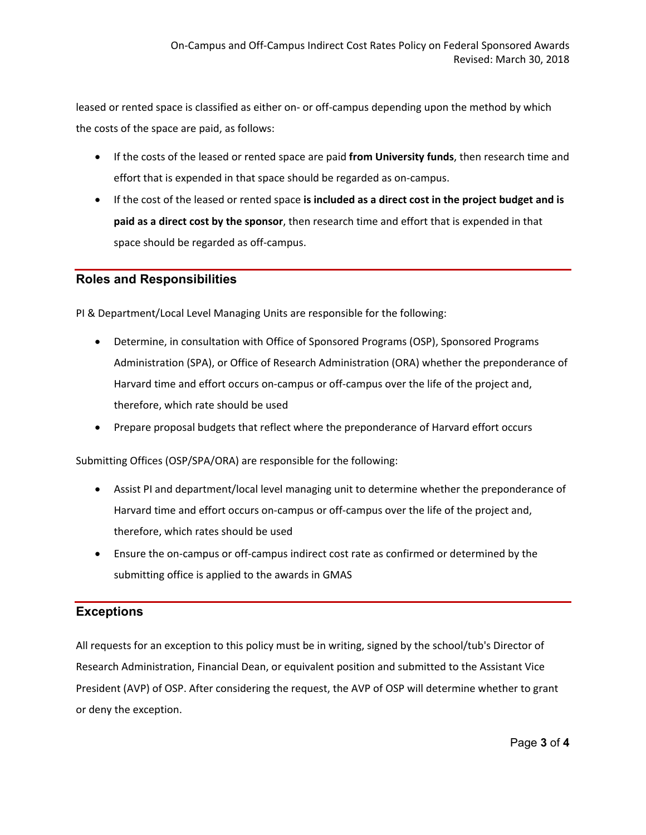leased or rented space is classified as either on- or off-campus depending upon the method by which the costs of the space are paid, as follows:

- If the costs of the leased or rented space are paid **from University funds**, then research time and effort that is expended in that space should be regarded as on-campus.
- If the cost of the leased or rented space **is included as a direct cost in the project budget and is paid as a direct cost by the sponsor**, then research time and effort that is expended in that space should be regarded as off-campus.

#### **Roles and Responsibilities**

PI & Department/Local Level Managing Units are responsible for the following:

- Determine, in consultation with Office of Sponsored Programs (OSP), Sponsored Programs Administration (SPA), or Office of Research Administration (ORA) whether the preponderance of Harvard time and effort occurs on-campus or off-campus over the life of the project and, therefore, which rate should be used
- Prepare proposal budgets that reflect where the preponderance of Harvard effort occurs

Submitting Offices (OSP/SPA/ORA) are responsible for the following:

- Assist PI and department/local level managing unit to determine whether the preponderance of Harvard time and effort occurs on-campus or off-campus over the life of the project and, therefore, which rates should be used
- Ensure the on-campus or off-campus indirect cost rate as confirmed or determined by the submitting office is applied to the awards in GMAS

# **Exceptions**

All requests for an exception to this policy must be in writing, signed by the school/tub's Director of Research Administration, Financial Dean, or equivalent position and submitted to the Assistant Vice President (AVP) of OSP. After considering the request, the AVP of OSP will determine whether to grant or deny the exception.